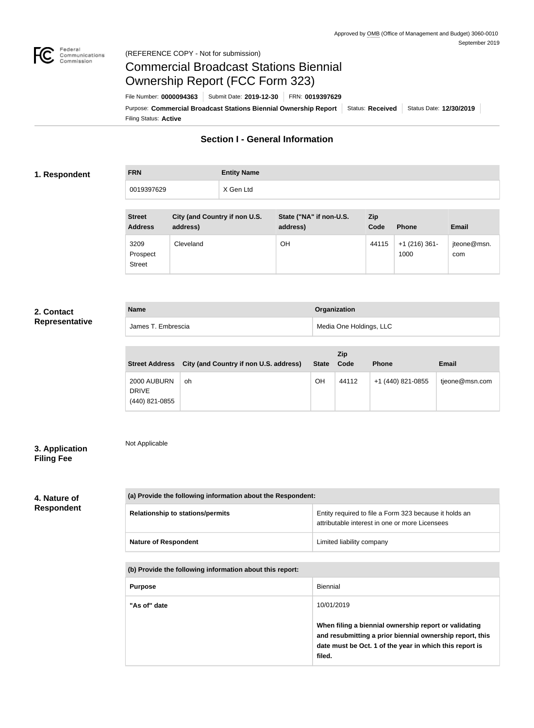

# Commercial Broadcast Stations Biennial Ownership Report (FCC Form 323)

Filing Status: **Active** Purpose: Commercial Broadcast Stations Biennial Ownership Report Status: Received Status Date: 12/30/2019 File Number: **0000094363** Submit Date: **2019-12-30** FRN: **0019397629**

# **Section I - General Information**

#### **1. Respondent**

**FRN Entity Name** 0019397629 X Gen Ltd

| <b>Street</b><br><b>Address</b>   | City (and Country if non U.S.<br>address) | State ("NA" if non-U.S.<br>address) | Zip<br>Code | <b>Phone</b>            | <b>Email</b>       |
|-----------------------------------|-------------------------------------------|-------------------------------------|-------------|-------------------------|--------------------|
| 3209<br>Prospect<br><b>Street</b> | Cleveland                                 | OH                                  | 44115       | $+1$ (216) 361-<br>1000 | jteone@msn.<br>com |

## **2. Contact Representative**

| <b>Name</b>        | Organization            |
|--------------------|-------------------------|
| James T. Embrescia | Media One Holdings, LLC |

| <b>Street Address</b>                         | City (and Country if non U.S. address) | State | Zip<br>Code | <b>Phone</b>      | <b>Email</b>   |
|-----------------------------------------------|----------------------------------------|-------|-------------|-------------------|----------------|
| 2000 AUBURN<br><b>DRIVE</b><br>(440) 821-0855 | 0h                                     | OH    | 44112       | +1 (440) 821-0855 | tjeone@msn.com |

# **3. Application Filing Fee**

Not Applicable

**4. Nature of Respondent**

| (a) Provide the following information about the Respondent: |                                                                                                          |  |  |
|-------------------------------------------------------------|----------------------------------------------------------------------------------------------------------|--|--|
| <b>Relationship to stations/permits</b>                     | Entity required to file a Form 323 because it holds an<br>attributable interest in one or more Licensees |  |  |
| <b>Nature of Respondent</b>                                 | Limited liability company                                                                                |  |  |

**(b) Provide the following information about this report:**

| <b>Purpose</b> | <b>Biennial</b>                                                                                                                                                                        |
|----------------|----------------------------------------------------------------------------------------------------------------------------------------------------------------------------------------|
| "As of" date   | 10/01/2019                                                                                                                                                                             |
|                | When filing a biennial ownership report or validating<br>and resubmitting a prior biennial ownership report, this<br>date must be Oct. 1 of the year in which this report is<br>filed. |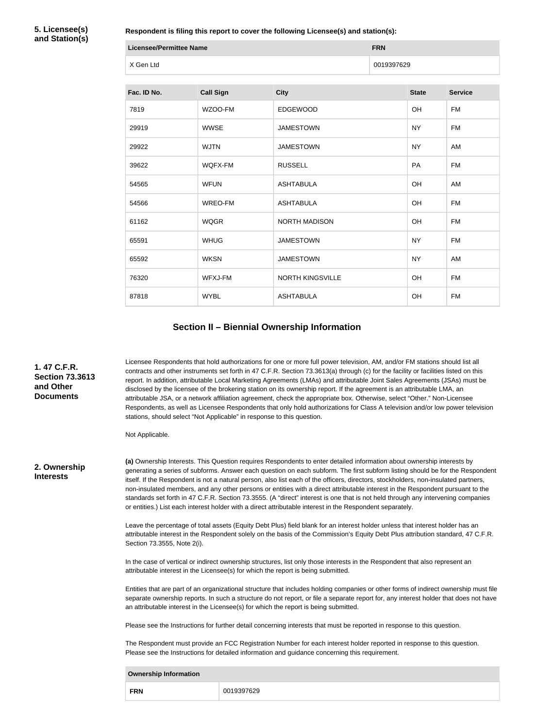**5. Licensee(s) and Station(s)**

**Respondent is filing this report to cover the following Licensee(s) and station(s):**

| <b>Licensee/Permittee Name</b> | <b>FRN</b> |
|--------------------------------|------------|
| X Gen Ltd                      | 0019397629 |

| Fac. ID No. | <b>Call Sign</b> | <b>City</b>             | <b>State</b> | <b>Service</b> |
|-------------|------------------|-------------------------|--------------|----------------|
| 7819        | WZOO-FM          | <b>EDGEWOOD</b>         | <b>OH</b>    | <b>FM</b>      |
| 29919       | <b>WWSE</b>      | <b>JAMESTOWN</b>        | <b>NY</b>    | <b>FM</b>      |
| 29922       | <b>WJTN</b>      | <b>JAMESTOWN</b>        | <b>NY</b>    | AM             |
| 39622       | WQFX-FM          | <b>RUSSELL</b>          | PA           | <b>FM</b>      |
| 54565       | <b>WFUN</b>      | <b>ASHTABULA</b>        | OH           | AM             |
| 54566       | WREO-FM          | <b>ASHTABULA</b>        | OH           | <b>FM</b>      |
| 61162       | <b>WQGR</b>      | <b>NORTH MADISON</b>    | OH           | <b>FM</b>      |
| 65591       | <b>WHUG</b>      | <b>JAMESTOWN</b>        | <b>NY</b>    | <b>FM</b>      |
| 65592       | <b>WKSN</b>      | <b>JAMESTOWN</b>        | <b>NY</b>    | AM             |
| 76320       | WFXJ-FM          | <b>NORTH KINGSVILLE</b> | OH           | <b>FM</b>      |
| 87818       | <b>WYBL</b>      | <b>ASHTABULA</b>        | <b>OH</b>    | FM             |

#### **Section II – Biennial Ownership Information**

**1. 47 C.F.R. Section 73.3613 and Other Documents**

Licensee Respondents that hold authorizations for one or more full power television, AM, and/or FM stations should list all contracts and other instruments set forth in 47 C.F.R. Section 73.3613(a) through (c) for the facility or facilities listed on this report. In addition, attributable Local Marketing Agreements (LMAs) and attributable Joint Sales Agreements (JSAs) must be disclosed by the licensee of the brokering station on its ownership report. If the agreement is an attributable LMA, an attributable JSA, or a network affiliation agreement, check the appropriate box. Otherwise, select "Other." Non-Licensee Respondents, as well as Licensee Respondents that only hold authorizations for Class A television and/or low power television stations, should select "Not Applicable" in response to this question.

Not Applicable.

**2. Ownership Interests**

**(a)** Ownership Interests. This Question requires Respondents to enter detailed information about ownership interests by generating a series of subforms. Answer each question on each subform. The first subform listing should be for the Respondent itself. If the Respondent is not a natural person, also list each of the officers, directors, stockholders, non-insulated partners, non-insulated members, and any other persons or entities with a direct attributable interest in the Respondent pursuant to the standards set forth in 47 C.F.R. Section 73.3555. (A "direct" interest is one that is not held through any intervening companies or entities.) List each interest holder with a direct attributable interest in the Respondent separately.

Leave the percentage of total assets (Equity Debt Plus) field blank for an interest holder unless that interest holder has an attributable interest in the Respondent solely on the basis of the Commission's Equity Debt Plus attribution standard, 47 C.F.R. Section 73.3555, Note 2(i).

In the case of vertical or indirect ownership structures, list only those interests in the Respondent that also represent an attributable interest in the Licensee(s) for which the report is being submitted.

Entities that are part of an organizational structure that includes holding companies or other forms of indirect ownership must file separate ownership reports. In such a structure do not report, or file a separate report for, any interest holder that does not have an attributable interest in the Licensee(s) for which the report is being submitted.

Please see the Instructions for further detail concerning interests that must be reported in response to this question.

The Respondent must provide an FCC Registration Number for each interest holder reported in response to this question. Please see the Instructions for detailed information and guidance concerning this requirement.

| <b>Ownership Information</b> |            |  |  |
|------------------------------|------------|--|--|
| <b>FRN</b>                   | 0019397629 |  |  |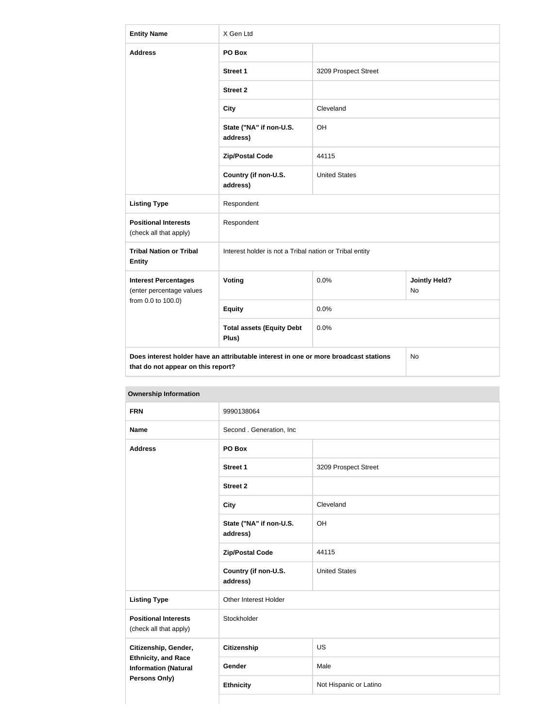| <b>Entity Name</b>                                                                                                         | X Gen Ltd                                               |                      |                            |  |
|----------------------------------------------------------------------------------------------------------------------------|---------------------------------------------------------|----------------------|----------------------------|--|
| <b>Address</b>                                                                                                             | PO Box                                                  |                      |                            |  |
|                                                                                                                            | <b>Street 1</b>                                         | 3209 Prospect Street |                            |  |
|                                                                                                                            | <b>Street 2</b>                                         |                      |                            |  |
|                                                                                                                            | <b>City</b>                                             | Cleveland            |                            |  |
|                                                                                                                            | State ("NA" if non-U.S.<br>address)                     | OH                   |                            |  |
|                                                                                                                            | <b>Zip/Postal Code</b>                                  | 44115                |                            |  |
|                                                                                                                            | Country (if non-U.S.<br>address)                        | <b>United States</b> |                            |  |
| <b>Listing Type</b>                                                                                                        | Respondent                                              |                      |                            |  |
| <b>Positional Interests</b><br>(check all that apply)                                                                      | Respondent                                              |                      |                            |  |
| <b>Tribal Nation or Tribal</b><br><b>Entity</b>                                                                            | Interest holder is not a Tribal nation or Tribal entity |                      |                            |  |
| <b>Interest Percentages</b><br>(enter percentage values                                                                    | Voting                                                  | 0.0%                 | <b>Jointly Held?</b><br>No |  |
| from 0.0 to 100.0)                                                                                                         | <b>Equity</b>                                           | 0.0%                 |                            |  |
|                                                                                                                            | <b>Total assets (Equity Debt</b><br>Plus)               | 0.0%                 |                            |  |
| Does interest holder have an attributable interest in one or more broadcast stations<br>that do not appear on this report? |                                                         |                      | No                         |  |

| <b>FRN</b>                                                                                         | 9990138064                          |                        |  |  |
|----------------------------------------------------------------------------------------------------|-------------------------------------|------------------------|--|--|
| <b>Name</b>                                                                                        | Second . Generation, Inc            |                        |  |  |
| <b>Address</b>                                                                                     | PO Box                              |                        |  |  |
|                                                                                                    | Street 1                            | 3209 Prospect Street   |  |  |
|                                                                                                    | <b>Street 2</b>                     |                        |  |  |
|                                                                                                    | <b>City</b>                         | Cleveland              |  |  |
|                                                                                                    | State ("NA" if non-U.S.<br>address) | OH                     |  |  |
|                                                                                                    | <b>Zip/Postal Code</b>              | 44115                  |  |  |
|                                                                                                    | Country (if non-U.S.<br>address)    | <b>United States</b>   |  |  |
| <b>Listing Type</b>                                                                                | Other Interest Holder               |                        |  |  |
| <b>Positional Interests</b><br>(check all that apply)                                              | Stockholder                         |                        |  |  |
| Citizenship, Gender,<br><b>Ethnicity, and Race</b><br><b>Information (Natural</b><br>Persons Only) | <b>Citizenship</b>                  | US                     |  |  |
|                                                                                                    | Gender                              | Male                   |  |  |
|                                                                                                    | <b>Ethnicity</b>                    | Not Hispanic or Latino |  |  |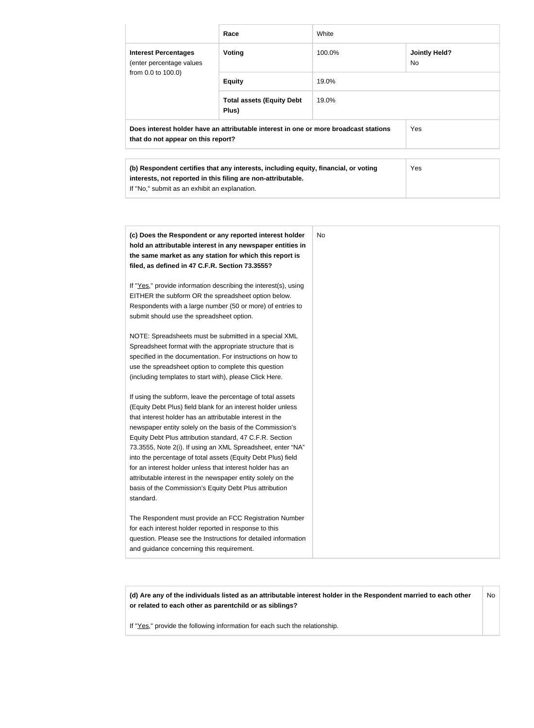|                                                                                                                            | Race                                                                                                                                                                                                                           | White                                 |              |  |
|----------------------------------------------------------------------------------------------------------------------------|--------------------------------------------------------------------------------------------------------------------------------------------------------------------------------------------------------------------------------|---------------------------------------|--------------|--|
| <b>Interest Percentages</b><br>(enter percentage values                                                                    | <b>Voting</b>                                                                                                                                                                                                                  | 100.0%<br><b>Jointly Held?</b><br>No. |              |  |
| from 0.0 to 100.0)                                                                                                         | <b>Equity</b>                                                                                                                                                                                                                  | 19.0%                                 |              |  |
|                                                                                                                            | <b>Total assets (Equity Debt</b><br>Plus)                                                                                                                                                                                      | 19.0%                                 |              |  |
| Does interest holder have an attributable interest in one or more broadcast stations<br>that do not appear on this report? |                                                                                                                                                                                                                                |                                       | Yes          |  |
|                                                                                                                            | ALLA PRODUCTION CONTRACTOR CONTRACTOR AND THE RESIDENCE OF A REPORT OF THE CONTRACTOR OF A REPORT OF A REPORT OF A REPORT OF A REPORT OF A REPORT OF A REPORT OF A REPORT OF A REPORT OF A REPORT OF A REPORT OF A REPORT OF A |                                       | $\mathbf{v}$ |  |

| (b) Respondent certifies that any interests, including equity, financial, or voting | <b>Yes</b> |
|-------------------------------------------------------------------------------------|------------|
| interests, not reported in this filing are non-attributable.                        |            |
| If "No," submit as an exhibit an explanation.                                       |            |

**(d) Are any of the individuals listed as an attributable interest holder in the Respondent married to each other or related to each other as parentchild or as siblings?** No

If "Yes," provide the following information for each such the relationship.